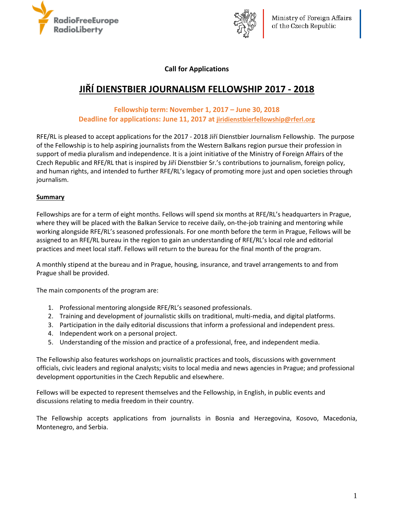



**Call for Applications**

# **JIŘÍ DIENSTBIER JOURNALISM FELLOWSHIP 2017 - 2018**

## **Fellowship term: November 1, 2017 – June 30, 2018 Deadline for applications: June 11, 2017 at jiridienstbierfellowship@rferl.org**

RFE/RL is pleased to accept applications for the 2017 - 2018 Jiří Dienstbier Journalism Fellowship. The purpose of the Fellowship is to help aspiring journalists from the Western Balkans region pursue their profession in support of media pluralism and independence. It is a joint initiative of the Ministry of Foreign Affairs of the Czech Republic and RFE/RL that is inspired by Jiří Dienstbier Sr.'s contributions to journalism, foreign policy, and human rights, and intended to further RFE/RL's legacy of promoting more just and open societies through journalism.

## **Summary**

Fellowships are for a term of eight months. Fellows will spend six months at RFE/RL's headquarters in Prague, where they will be placed with the Balkan Service to receive daily, on-the-job training and mentoring while working alongside RFE/RL's seasoned professionals. For one month before the term in Prague, Fellows will be assigned to an RFE/RL bureau in the region to gain an understanding of RFE/RL's local role and editorial practices and meet local staff. Fellows will return to the bureau for the final month of the program.

A monthly stipend at the bureau and in Prague, housing, insurance, and travel arrangements to and from Prague shall be provided.

The main components of the program are:

- 1. Professional mentoring alongside RFE/RL's seasoned professionals.
- 2. Training and development of journalistic skills on traditional, multi-media, and digital platforms.
- 3. Participation in the daily editorial discussions that inform a professional and independent press.
- 4. Independent work on a personal project.
- 5. Understanding of the mission and practice of a professional, free, and independent media.

The Fellowship also features workshops on journalistic practices and tools, discussions with government officials, civic leaders and regional analysts; visits to local media and news agencies in Prague; and professional development opportunities in the Czech Republic and elsewhere.

Fellows will be expected to represent themselves and the Fellowship, in English, in public events and discussions relating to media freedom in their country.

The Fellowship accepts applications from journalists in Bosnia and Herzegovina, Kosovo, Macedonia, Montenegro, and Serbia.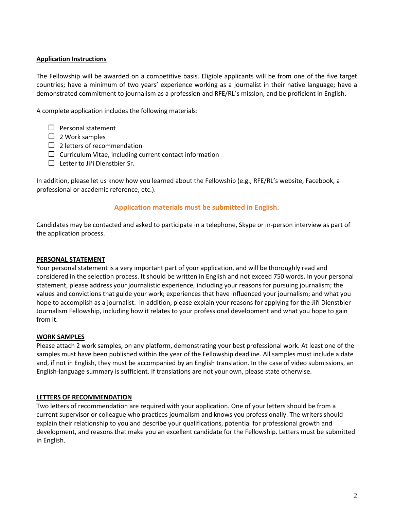#### **Application Instructions**

The Fellowship will be awarded on a competitive basis. Eligible applicants will be from one of the five target countries; have a minimum of two years' experience working as a journalist in their native language; have a demonstrated commitment to journalism as a profession and RFE/RL´s mission; and be proficient in English.

A complete application includes the following materials:

- $\Box$  Personal statement
- $\Box$  2 Work samples
- $\Box$  2 letters of recommendation
- $\square$  Curriculum Vitae, including current contact information
- $\Box$  Letter to Jiří Dienstbier Sr.

In addition, please let us know how you learned about the Fellowship (e.g., RFE/RL's website, Facebook, a professional or academic reference, etc.).

## **Application materials must be submitted in English.**

Candidates may be contacted and asked to participate in a telephone, Skype or in-person interview as part of the application process.

#### **PERSONAL STATEMENT**

Your personal statement is a very important part of your application, and will be thoroughly read and considered in the selection process. It should be written in English and not exceed 750 words. In your personal statement, please address your journalistic experience, including your reasons for pursuing journalism; the values and convictions that guide your work; experiences that have influenced your journalism; and what you hope to accomplish as a journalist. In addition, please explain your reasons for applying for the Jiří Dienstbier Journalism Fellowship, including how it relates to your professional development and what you hope to gain from it.

#### **WORK SAMPLES**

Please attach 2 work samples, on any platform, demonstrating your best professional work. At least one of the samples must have been published within the year of the Fellowship deadline. All samples must include a date and, if not in English, they must be accompanied by an English translation. In the case of video submissions, an English-language summary is sufficient. If translations are not your own, please state otherwise.

#### **LETTERS OF RECOMMENDATION**

Two letters of recommendation are required with your application. One of your letters should be from a current supervisor or colleague who practices journalism and knows you professionally. The writers should explain their relationship to you and describe your qualifications, potential for professional growth and development, and reasons that make you an excellent candidate for the Fellowship. Letters must be submitted in English.